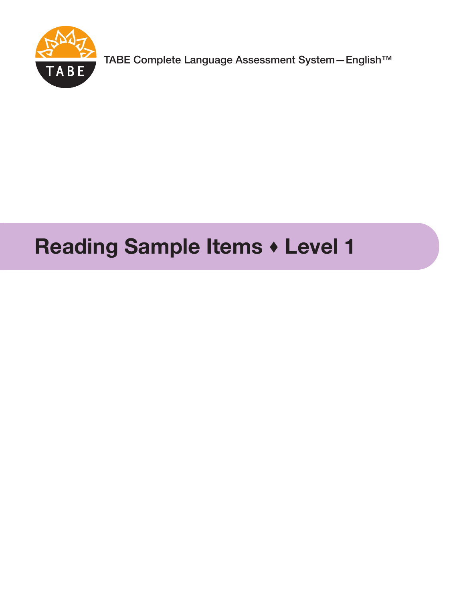

TABE Complete Language Assessment System—English™

# **Reading Sample Items Level 1**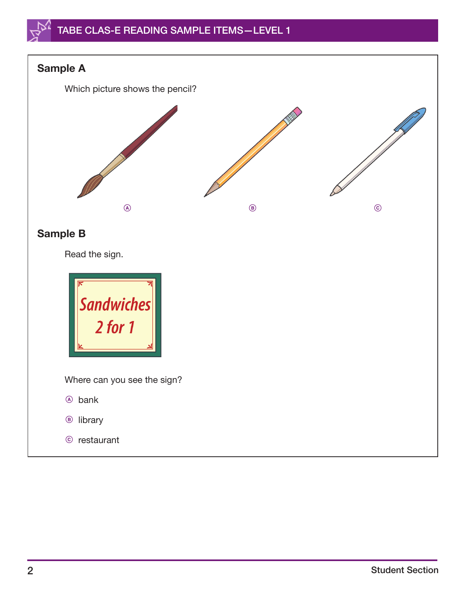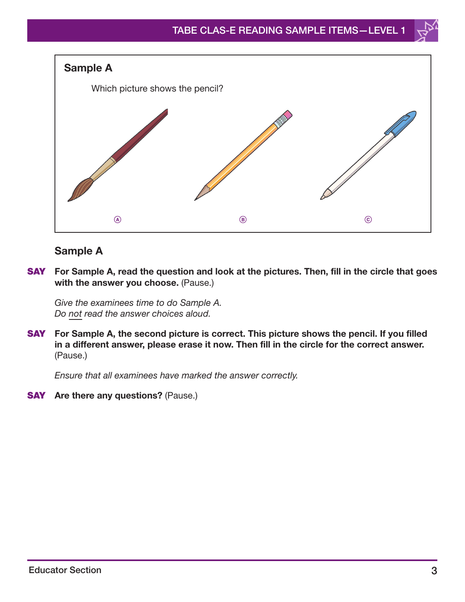

### **Sample A**

**SAY For Sample A, read the question and look at the pictures. Then, fill in the circle that goes with the answer you choose.** (Pause.)

Give the examinees time to do Sample A. Do not read the answer choices aloud.

**SAY For Sample A, the second picture is correct. This picture shows the pencil. If you filled in a different answer, please erase it now. Then fill in the circle for the correct answer.**  (Pause.)

Ensure that all examinees have marked the answer correctly.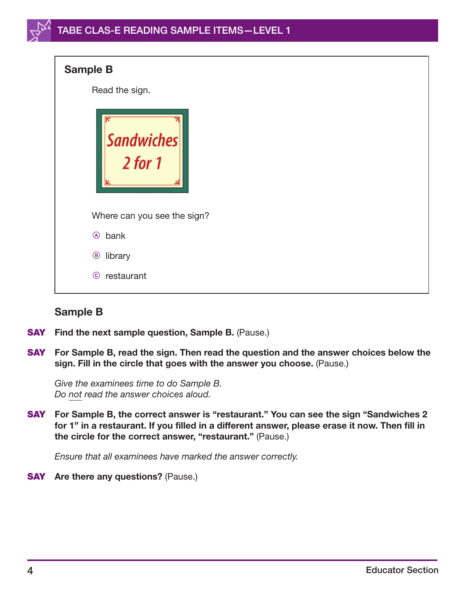| <b>Sample B</b>                                                                                                |
|----------------------------------------------------------------------------------------------------------------|
| Read the sign.                                                                                                 |
| ⋉<br>$\begin{array}{ l } \hbox{\small\bf Sandwiches} \\ \hbox{\small\bf 2 for 1} \hbox{\small\bf} \end{array}$ |
| Where can you see the sign?                                                                                    |
| bank<br>$\circledA$                                                                                            |
| library<br>$\bigcirc$                                                                                          |
| $\odot$<br>restaurant                                                                                          |

### **Sample B**

- **SAY** Find the next sample question, Sample B. (Pause.)
- **SAY For Sample B, read the sign. Then read the question and the answer choices below the sign. Fill in the circle that goes with the answer you choose.** (Pause.)

Give the examinees time to do Sample B. Do not read the answer choices aloud.

**SAY For Sample B, the correct answer is "restaurant." You can see the sign "Sandwiches 2 for 1" in a restaurant. If you filled in a different answer, please erase it now. Then fill in the circle for the correct answer, "restaurant."** (Pause.)

Ensure that all examinees have marked the answer correctly.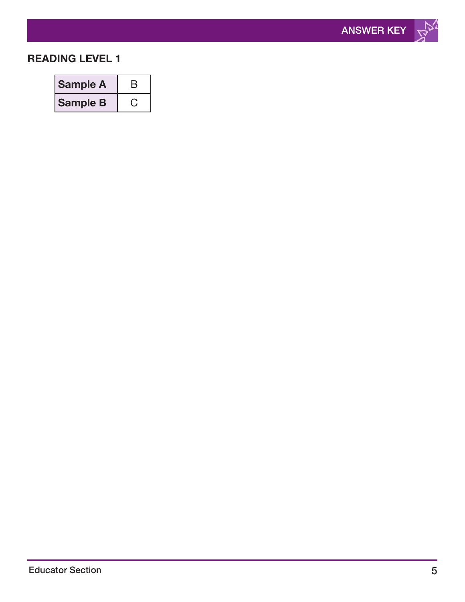

### **READING LEVEL 1**

| <b>Sample A</b> | B |
|-----------------|---|
| <b>Sample B</b> |   |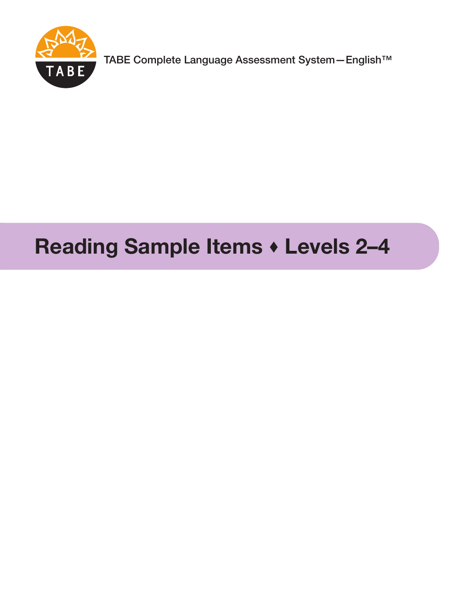

TABE Complete Language Assessment System—English™<br>TABE

# Reading Sample Items  $\cdot$  Levels 2-4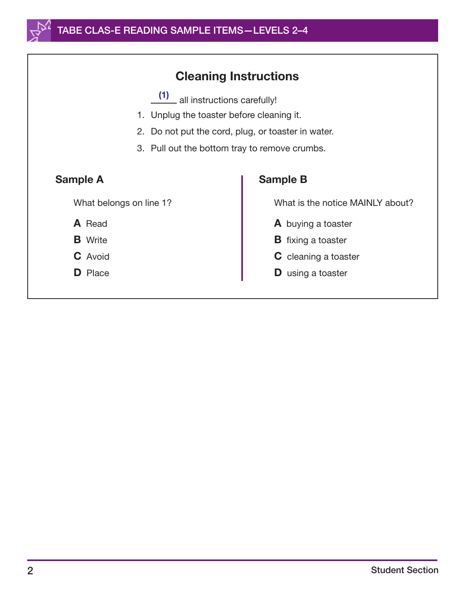

## Cleaning Instructions

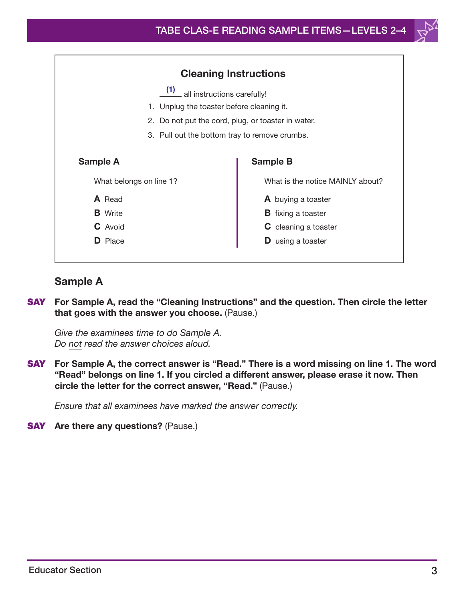

#### Sample A

SAY For Sample A, read the "Cleaning Instructions" and the question. Then circle the letter that goes with the answer you choose. (Pause.)

*Give the examinees time to do Sample A. Do not read the answer choices aloud.*

SAY For Sample A, the correct answer is "Read." There is a word missing on line 1. The word "Read" belongs on line 1. If you circled a different answer, please erase it now. Then circle the letter for the correct answer, "Read." (Pause.)

*Ensure that all examinees have marked the answer correctly.*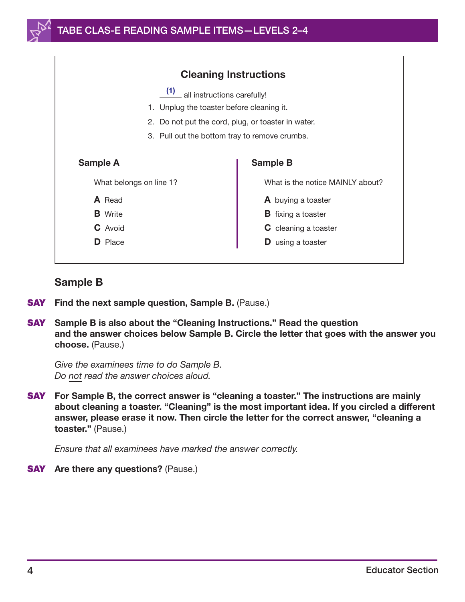

#### Sample B

- **SAY** Find the next sample question, Sample B. (Pause.)
- SAY Sample B is also about the "Cleaning Instructions." Read the question and the answer choices below Sample B. Circle the letter that goes with the answer you choose. (Pause.)

*Give the examinees time to do Sample B. Do not read the answer choices aloud.*

SAY For Sample B, the correct answer is "cleaning a toaster." The instructions are mainly about cleaning a toaster. "Cleaning" is the most important idea. If you circled a different answer, please erase it now. Then circle the letter for the correct answer, "cleaning a toaster." (Pause.)

*Ensure that all examinees have marked the answer correctly.*